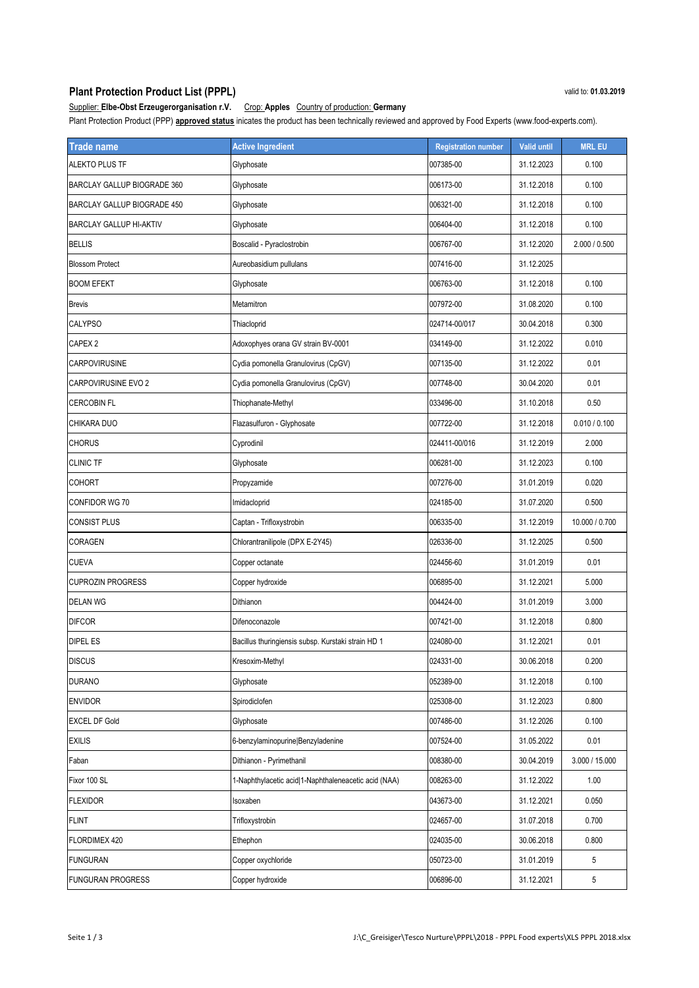## **Plant Protection Product List (PPPL)** valid to: **01.03.2019**

Supplier: **Elbe-Obst Erzeugerorganisation r.V.** Crop: **Apples** Country of production: **Germany** Plant Protection Product (PPP) **approved status** inicates the product has been technically reviewed and approved by Food Experts (www.food-experts.com).

| <b>Trade name</b>              | <b>Active Ingredient</b>                             | <b>Registration number</b> | Valid until | <b>MRL EU</b>  |
|--------------------------------|------------------------------------------------------|----------------------------|-------------|----------------|
| <b>ALEKTO PLUS TF</b>          | Glyphosate                                           | 007385-00                  | 31.12.2023  | 0.100          |
| BARCLAY GALLUP BIOGRADE 360    | Glyphosate                                           | 006173-00                  | 31.12.2018  | 0.100          |
| BARCLAY GALLUP BIOGRADE 450    | Glyphosate                                           | 006321-00                  | 31.12.2018  | 0.100          |
| <b>BARCLAY GALLUP HI-AKTIV</b> | Glyphosate                                           | 006404-00                  | 31.12.2018  | 0.100          |
| <b>BELLIS</b>                  | Boscalid - Pyraclostrobin                            | 006767-00                  | 31.12.2020  | 2.000 / 0.500  |
| <b>Blossom Protect</b>         | Aureobasidium pullulans                              | 007416-00                  | 31.12.2025  |                |
| <b>BOOM EFEKT</b>              | Glyphosate                                           | 006763-00                  | 31.12.2018  | 0.100          |
| <b>Brevis</b>                  | Metamitron                                           | 007972-00                  | 31.08.2020  | 0.100          |
| <b>CALYPSO</b>                 | Thiacloprid                                          | 024714-00/017              | 30.04.2018  | 0.300          |
| CAPEX <sub>2</sub>             | Adoxophyes orana GV strain BV-0001                   | 034149-00                  | 31.12.2022  | 0.010          |
| <b>CARPOVIRUSINE</b>           | Cydia pomonella Granulovirus (CpGV)                  | 007135-00                  | 31.12.2022  | 0.01           |
| CARPOVIRUSINE EVO 2            | Cydia pomonella Granulovirus (CpGV)                  | 007748-00                  | 30.04.2020  | 0.01           |
| <b>CERCOBIN FL</b>             | Thiophanate-Methyl                                   | 033496-00                  | 31.10.2018  | 0.50           |
| CHIKARA DUO                    | Flazasulfuron - Glyphosate                           | 007722-00                  | 31.12.2018  | 0.010 / 0.100  |
| <b>CHORUS</b>                  | Cyprodinil                                           | 024411-00/016              | 31.12.2019  | 2.000          |
| <b>CLINIC TF</b>               | Glyphosate                                           | 006281-00                  | 31.12.2023  | 0.100          |
| <b>COHORT</b>                  | Propyzamide                                          | 007276-00                  | 31.01.2019  | 0.020          |
| CONFIDOR WG 70                 | Imidacloprid                                         | 024185-00                  | 31.07.2020  | 0.500          |
| <b>CONSIST PLUS</b>            | Captan - Trifloxystrobin                             | 006335-00                  | 31.12.2019  | 10.000 / 0.700 |
| CORAGEN                        | Chlorantranilipole (DPX E-2Y45)                      | 026336-00                  | 31.12.2025  | 0.500          |
| <b>CUEVA</b>                   | Copper octanate                                      | 024456-60                  | 31.01.2019  | 0.01           |
| <b>CUPROZIN PROGRESS</b>       | Copper hydroxide                                     | 006895-00                  | 31.12.2021  | 5.000          |
| <b>DELAN WG</b>                | Dithianon                                            | 004424-00                  | 31.01.2019  | 3.000          |
| <b>DIFCOR</b>                  | Difenoconazole                                       | 007421-00                  | 31.12.2018  | 0.800          |
| <b>DIPEL ES</b>                | Bacillus thuringiensis subsp. Kurstaki strain HD 1   | 024080-00                  | 31.12.2021  | 0.01           |
| <b>DISCUS</b>                  | Kresoxim-Methyl                                      | 024331-00                  | 30.06.2018  | 0.200          |
| <b>DURANO</b>                  | Glyphosate                                           | 052389-00                  | 31.12.2018  | 0.100          |
| <b>ENVIDOR</b>                 | Spirodiclofen                                        | 025308-00                  | 31.12.2023  | 0.800          |
| <b>EXCEL DF Gold</b>           | Glyphosate                                           | 007486-00                  | 31.12.2026  | 0.100          |
| <b>EXILIS</b>                  | 6-benzylaminopurine Benzyladenine                    | 007524-00                  | 31.05.2022  | 0.01           |
| Faban                          | Dithianon - Pyrimethanil                             | 008380-00                  | 30.04.2019  | 3.000 / 15.000 |
| Fixor 100 SL                   | 1-Naphthylacetic acid 1-Naphthaleneacetic acid (NAA) | 008263-00                  | 31.12.2022  | 1.00           |
| <b>FLEXIDOR</b>                | Isoxaben                                             | 043673-00                  | 31.12.2021  | 0.050          |
| <b>FLINT</b>                   | Trifloxystrobin                                      | 024657-00                  | 31.07.2018  | 0.700          |
| FLORDIMEX 420                  | Ethephon                                             | 024035-00                  | 30.06.2018  | 0.800          |
| <b>FUNGURAN</b>                | Copper oxychloride                                   | 050723-00                  | 31.01.2019  | 5              |
| <b>FUNGURAN PROGRESS</b>       | Copper hydroxide                                     | 006896-00                  | 31.12.2021  | 5              |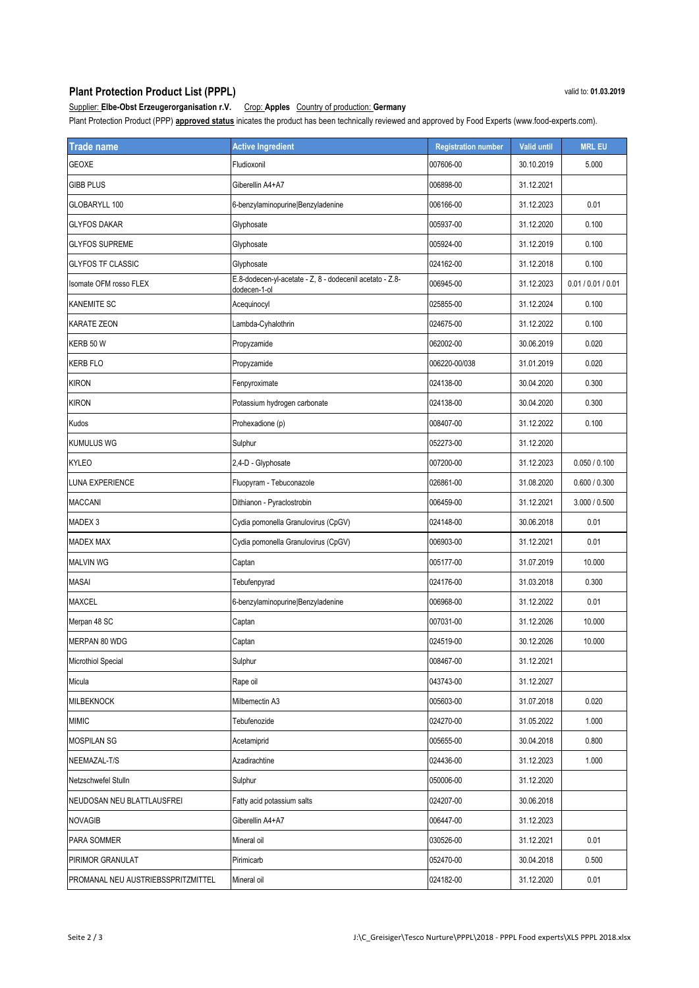# **Plant Protection Product List (PPPL)** valid to: **01.03.2019**

#### Supplier: **Elbe-Obst Erzeugerorganisation r.V.** Crop: **Apples** Country of production: **Germany** Plant Protection Product (PPP) **approved status** inicates the product has been technically reviewed and approved by Food Experts (www.food-experts.com).

| <b>Trade name</b>                  | <b>Active Ingredient</b>                                                 | <b>Registration number</b> | <b>Valid until</b> | <b>MRL EU</b>      |
|------------------------------------|--------------------------------------------------------------------------|----------------------------|--------------------|--------------------|
| <b>GEOXE</b>                       | Fludioxonil                                                              | 007606-00                  | 30.10.2019         | 5.000              |
| <b>GIBB PLUS</b>                   | Giberellin A4+A7                                                         | 006898-00                  | 31.12.2021         |                    |
| GLOBARYLL 100                      | 6-benzylaminopurine Benzyladenine                                        | 006166-00                  | 31.12.2023         | 0.01               |
| <b>GLYFOS DAKAR</b>                | Glyphosate                                                               | 005937-00                  | 31.12.2020         | 0.100              |
| <b>GLYFOS SUPREME</b>              | Glyphosate                                                               | 005924-00                  | 31.12.2019         | 0.100              |
| <b>GLYFOS TF CLASSIC</b>           | Glyphosate                                                               | 024162-00                  | 31.12.2018         | 0.100              |
| Isomate OFM rosso FLEX             | E.8-dodecen-yl-acetate - Z, 8 - dodecenil acetato - Z.8-<br>dodecen-1-ol | 006945-00                  | 31.12.2023         | 0.01 / 0.01 / 0.01 |
| <b>KANEMITE SC</b>                 | Acequinocyl                                                              | 025855-00                  | 31.12.2024         | 0.100              |
| <b>KARATE ZEON</b>                 | Lambda-Cyhalothrin                                                       | 024675-00                  | 31.12.2022         | 0.100              |
| KERB 50 W                          | Propyzamide                                                              | 062002-00                  | 30.06.2019         | 0.020              |
| <b>KERB FLO</b>                    | Propyzamide                                                              | 006220-00/038              | 31.01.2019         | 0.020              |
| <b>KIRON</b>                       | Fenpyroximate                                                            | 024138-00                  | 30.04.2020         | 0.300              |
| <b>KIRON</b>                       | Potassium hydrogen carbonate                                             | 024138-00                  | 30.04.2020         | 0.300              |
| Kudos                              | Prohexadione (p)                                                         | 008407-00                  | 31.12.2022         | 0.100              |
| <b>KUMULUS WG</b>                  | Sulphur                                                                  | 052273-00                  | 31.12.2020         |                    |
| <b>KYLEO</b>                       | 2,4-D - Glyphosate                                                       | 007200-00                  | 31.12.2023         | 0.050 / 0.100      |
| LUNA EXPERIENCE                    | Fluopyram - Tebuconazole                                                 | 026861-00                  | 31.08.2020         | 0.600 / 0.300      |
| <b>MACCANI</b>                     | Dithianon - Pyraclostrobin                                               | 006459-00                  | 31.12.2021         | 3.000 / 0.500      |
| MADEX 3                            | Cydia pomonella Granulovirus (CpGV)                                      | 024148-00                  | 30.06.2018         | 0.01               |
| <b>MADEX MAX</b>                   | Cydia pomonella Granulovirus (CpGV)                                      | 006903-00                  | 31.12.2021         | 0.01               |
| <b>MALVIN WG</b>                   | Captan                                                                   | 005177-00                  | 31.07.2019         | 10.000             |
| <b>MASAI</b>                       | Tebufenpyrad                                                             | 024176-00                  | 31.03.2018         | 0.300              |
| MAXCEL                             | 6-benzylaminopurine Benzyladenine                                        | 006968-00                  | 31.12.2022         | 0.01               |
| Merpan 48 SC                       | Captan                                                                   | 007031-00                  | 31.12.2026         | 10.000             |
| <b>MERPAN 80 WDG</b>               | Captan                                                                   | 024519-00                  | 30.12.2026         | 10.000             |
| Microthiol Special                 | Sulphur                                                                  | 008467-00                  | 31.12.2021         |                    |
| Micula                             | Rape oil                                                                 | 043743-00                  | 31.12.2027         |                    |
| <b>MILBEKNOCK</b>                  | Milbemectin A3                                                           | 005603-00                  | 31.07.2018         | 0.020              |
| <b>MIMIC</b>                       | Tebufenozide                                                             | 024270-00                  | 31.05.2022         | 1.000              |
| <b>MOSPILAN SG</b>                 | Acetamiprid                                                              | 005655-00                  | 30.04.2018         | 0.800              |
| NEEMAZAL-T/S                       | Azadirachtine                                                            | 024436-00                  | 31.12.2023         | 1.000              |
| Netzschwefel Stulln                | Sulphur                                                                  | 050006-00                  | 31.12.2020         |                    |
| NEUDOSAN NEU BLATTLAUSFREI         | Fatty acid potassium salts                                               | 024207-00                  | 30.06.2018         |                    |
| <b>NOVAGIB</b>                     | Giberellin A4+A7                                                         | 006447-00                  | 31.12.2023         |                    |
| PARA SOMMER                        | Mineral oil                                                              | 030526-00                  | 31.12.2021         | 0.01               |
| PIRIMOR GRANULAT                   | Pirimicarb                                                               | 052470-00                  | 30.04.2018         | 0.500              |
| PROMANAL NEU AUSTRIEBSSPRITZMITTEL | Mineral oil                                                              | 024182-00                  | 31.12.2020         | 0.01               |